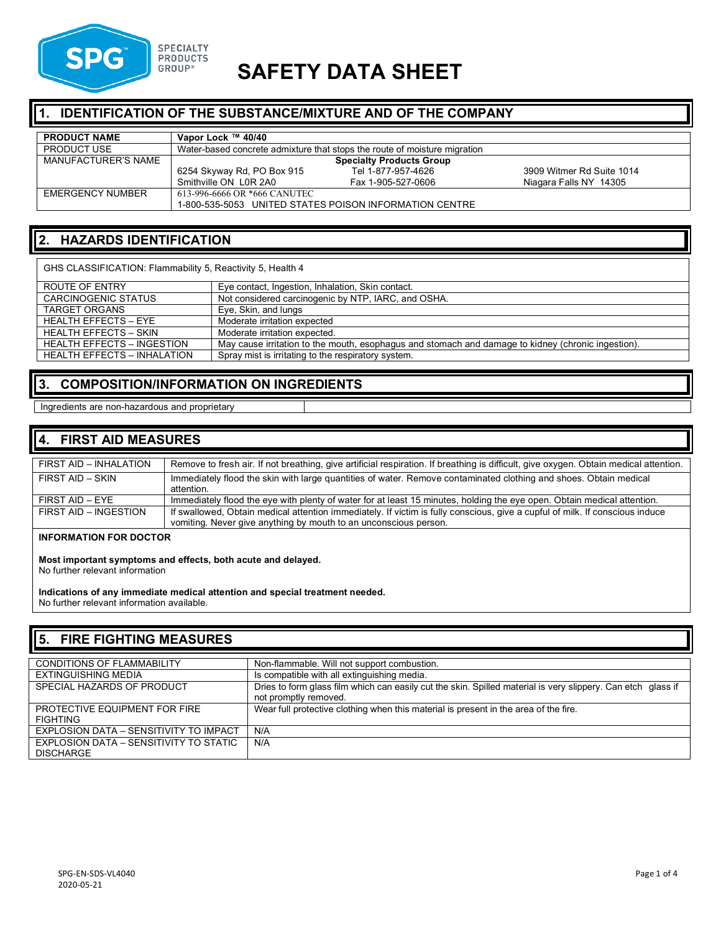

# **SAFETY DATA SHEET**

### **1. IDENTIFICATION OF THE SUBSTANCE/MIXTURE AND OF THE COMPANY**

| <b>PRODUCT NAME</b> | Vapor Lock ™ 40/40                                                        |                    |                           |
|---------------------|---------------------------------------------------------------------------|--------------------|---------------------------|
| <b>PRODUCT USE</b>  | Water-based concrete admixture that stops the route of moisture migration |                    |                           |
| MANUFACTURER'S NAME | <b>Specialty Products Group</b>                                           |                    |                           |
|                     | 6254 Skyway Rd, PO Box 915                                                | Tel 1-877-957-4626 | 3909 Witmer Rd Suite 1014 |
|                     | Smithville ON L0R 2A0                                                     | Fax 1-905-527-0606 | Niagara Falls NY 14305    |
| EMERGENCY NUMBER    | 613-996-6666 OR *666 CANUTEC                                              |                    |                           |
|                     | 1-800-535-5053 UNITED STATES POISON INFORMATION CENTRE                    |                    |                           |

## **2. HAZARDS IDENTIFICATION**

| GHS CLASSIFICATION: Flammability 5, Reactivity 5, Health 4                                         |  |  |
|----------------------------------------------------------------------------------------------------|--|--|
| Eye contact, Ingestion, Inhalation, Skin contact.                                                  |  |  |
| Not considered carcinogenic by NTP, IARC, and OSHA.                                                |  |  |
| Eye, Skin, and lungs                                                                               |  |  |
| Moderate irritation expected                                                                       |  |  |
| Moderate irritation expected.                                                                      |  |  |
| May cause irritation to the mouth, esophagus and stomach and damage to kidney (chronic ingestion). |  |  |
| Spray mist is irritating to the respiratory system.                                                |  |  |
|                                                                                                    |  |  |

## **3. COMPOSITION/INFORMATION ON INGREDIENTS**

### Ingredients are non-hazardous and proprietary

### **4. FIRST AID MEASURES**

| FIRST AID - INHALATION | Remove to fresh air. If not breathing, give artificial respiration. If breathing is difficult, give oxygen. Obtain medical attention.                                                            |
|------------------------|--------------------------------------------------------------------------------------------------------------------------------------------------------------------------------------------------|
| FIRST AID – SKIN       | Immediately flood the skin with large quantities of water. Remove contaminated clothing and shoes. Obtain medical<br>attention.                                                                  |
| FIRST AID - EYE        | Immediately flood the eye with plenty of water for at least 15 minutes, holding the eye open. Obtain medical attention.                                                                          |
| FIRST AID - INGESTION  | If swallowed, Obtain medical attention immediately. If victim is fully conscious, give a cupful of milk. If conscious induce<br>vomiting. Never give anything by mouth to an unconscious person. |

### **INFORMATION FOR DOCTOR**

**Most important symptoms and effects, both acute and delayed.** No further relevant information

**Indications of any immediate medical attention and special treatment needed.** No further relevant information available.

### **5. FIRE FIGHTING MEASURES** CONDITIONS OF FLAMMABILITY Non-flammable. Will not support combustion.<br>EXTINGUISHING MEDIA IS compatible with all extinguishing media. EXTINGUISHING MEDIA Is compatible with all extinguishing media.<br>SPECIAL HAZARDS OF PRODUCT Dies to form glass film which can easily cu Dries to form glass film which can easily cut the skin. Spilled material is very slippery. Can etch glass if not promptly removed. PROTECTIVE EQUIPMENT FOR FIRE FIGHTING Wear full protective clothing when this material is present in the area of the fire. EXPLOSION DATA – SENSITIVITY TO IMPACT N/A EXPLOSION DATA – SENSITIVITY TO STATIC **DISCHARGE** N/A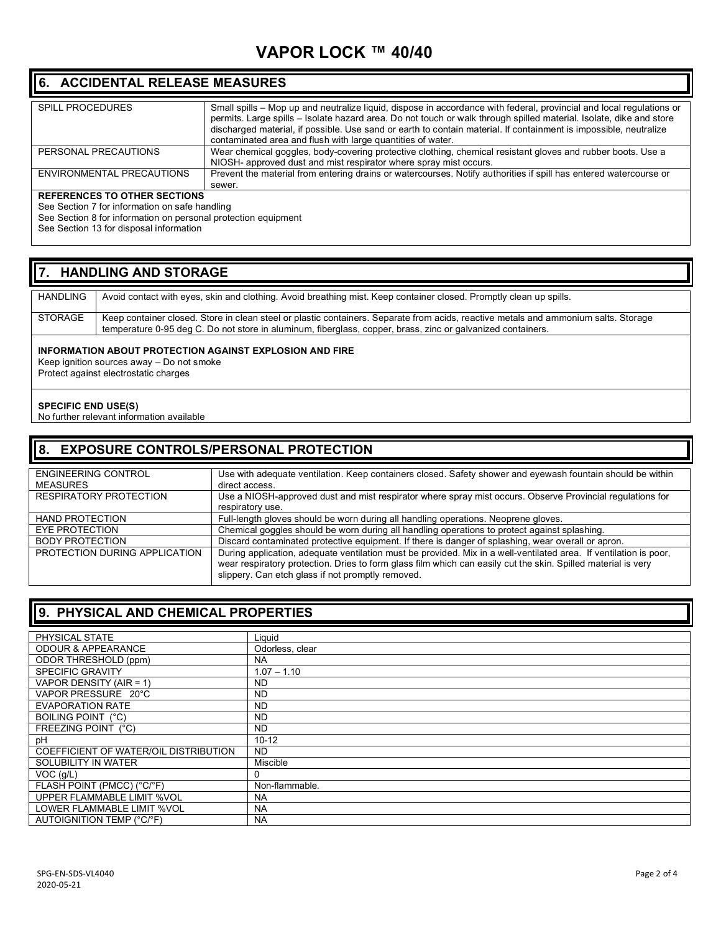# **VAPOR LOCK ™ 40/40**

### **6. ACCIDENTAL RELEASE MEASURES**

| <b>SPILL PROCEDURES</b>             | Small spills – Mop up and neutralize liquid, dispose in accordance with federal, provincial and local requlations or<br>permits. Large spills - Isolate hazard area. Do not touch or walk through spilled material. Isolate, dike and store<br>discharged material, if possible. Use sand or earth to contain material. If containment is impossible, neutralize<br>contaminated area and flush with large quantities of water. |
|-------------------------------------|---------------------------------------------------------------------------------------------------------------------------------------------------------------------------------------------------------------------------------------------------------------------------------------------------------------------------------------------------------------------------------------------------------------------------------|
| PERSONAL PRECAUTIONS                | Wear chemical goggles, body-covering protective clothing, chemical resistant gloves and rubber boots. Use a                                                                                                                                                                                                                                                                                                                     |
|                                     |                                                                                                                                                                                                                                                                                                                                                                                                                                 |
|                                     | NIOSH- approved dust and mist respirator where spray mist occurs.                                                                                                                                                                                                                                                                                                                                                               |
| ENVIRONMENTAL PRECAUTIONS           | Prevent the material from entering drains or watercourses. Notify authorities if spill has entered watercourse or                                                                                                                                                                                                                                                                                                               |
|                                     | sewer.                                                                                                                                                                                                                                                                                                                                                                                                                          |
| <b>REFERENCES TO OTHER SECTIONS</b> |                                                                                                                                                                                                                                                                                                                                                                                                                                 |

### **REFERENCES TO OTHER SECTIONS**

See Section 7 for information on safe handling

See Section 8 for information on personal protection equipment

See Section 13 for disposal information

### **7. HANDLING AND STORAGE**

| <b>HANDLING</b>                           | Avoid contact with eyes, skin and clothing. Avoid breathing mist. Keep container closed. Promptly clean up spills.                  |  |
|-------------------------------------------|-------------------------------------------------------------------------------------------------------------------------------------|--|
|                                           |                                                                                                                                     |  |
|                                           |                                                                                                                                     |  |
| <b>STORAGE</b>                            | Keep container closed. Store in clean steel or plastic containers. Separate from acids, reactive metals and ammonium salts. Storage |  |
|                                           |                                                                                                                                     |  |
|                                           | temperature 0-95 deg C. Do not store in aluminum, fiberglass, copper, brass, zinc or galvanized containers.                         |  |
|                                           |                                                                                                                                     |  |
|                                           |                                                                                                                                     |  |
|                                           | INFORMATION ABOUT PROTECTION AGAINST EXPLOSION AND FIRE                                                                             |  |
| Keep ignition sources away – Do not smoke |                                                                                                                                     |  |
|                                           |                                                                                                                                     |  |
|                                           | Protect against electrostatic charges                                                                                               |  |

**SPECIFIC END USE(S)**  No further relevant information available

### **8. EXPOSURE CONTROLS/PERSONAL PROTECTION** ENGINEERING CONTROL MEASURES<br>RESPIRATORY PROTECTION Use with adequate ventilation. Keep containers closed. Safety shower and eyewash fountain should be within direct access. Use a NIOSH-approved dust and mist respirator where spray mist occurs. Observe Provincial regulations for respiratory use. HAND PROTECTION Full-length gloves should be worn during all handling operations. Neoprene gloves.<br>EYE PROTECTION Chemical goggles should be worn during all handling operations to protect against EYE PROTECTION Chemical goggles should be worn during all handling operations to protect against splashing.<br>BODY PROTECTION Discard contaminated protective equipment. If there is danger of splashing, wear overall or a Discard contaminated protective equipment. If there is danger of splashing, wear overall or apron. PROTECTION DURING APPLICATION | During application, adequate ventilation must be provided. Mix in a well-ventilated area. If ventilation is poor, wear respiratory protection. Dries to form glass film which can easily cut the skin. Spilled material is very slippery. Can etch glass if not promptly removed.

| 9. PHYSICAL AND CHEMICAL PROPERTIES   |                 |  |
|---------------------------------------|-----------------|--|
| PHYSICAL STATE                        | Liquid          |  |
| <b>ODOUR &amp; APPEARANCE</b>         | Odorless, clear |  |
| ODOR THRESHOLD (ppm)                  | <b>NA</b>       |  |
|                                       |                 |  |
| <b>SPECIFIC GRAVITY</b>               | $1.07 - 1.10$   |  |
| VAPOR DENSITY (AIR = 1)               | <b>ND</b>       |  |
| VAPOR PRESSURE 20°C                   | <b>ND</b>       |  |
| <b>EVAPORATION RATE</b>               | <b>ND</b>       |  |
| BOILING POINT (°C)                    | <b>ND</b>       |  |
| FREEZING POINT (°C)                   | ND.             |  |
| pH                                    | $10 - 12$       |  |
| COEFFICIENT OF WATER/OIL DISTRIBUTION | <b>ND</b>       |  |
| SOLUBILITY IN WATER                   | Miscible        |  |
| VOC (g/L)                             | 0               |  |
| FLASH POINT (PMCC) (°C/°F)            | Non-flammable.  |  |
| UPPER FLAMMABLE LIMIT %VOL            | <b>NA</b>       |  |
| LOWER FLAMMABLE LIMIT %VOL            | <b>NA</b>       |  |
| <b>AUTOIGNITION TEMP (°C/°F)</b>      | <b>NA</b>       |  |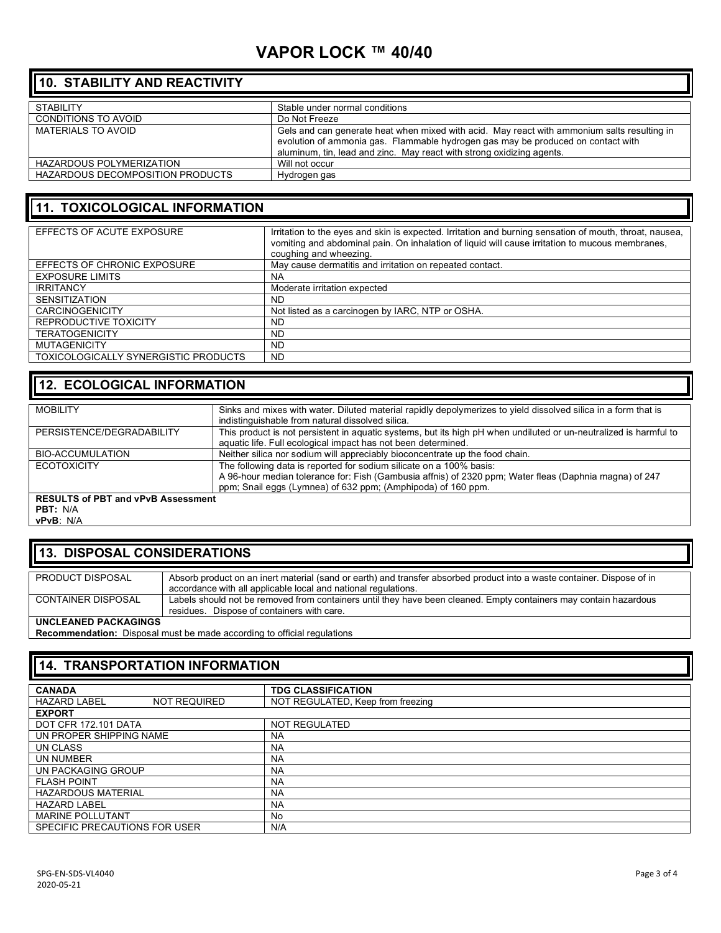# **VAPOR LOCK ™ 40/40**

## **10. STABILITY AND REACTIVITY**

| <b>STABILITY</b>                 | Stable under normal conditions                                                                                                                                                                                                                           |
|----------------------------------|----------------------------------------------------------------------------------------------------------------------------------------------------------------------------------------------------------------------------------------------------------|
| CONDITIONS TO AVOID              | Do Not Freeze                                                                                                                                                                                                                                            |
| MATERIALS TO AVOID               | Gels and can generate heat when mixed with acid. May react with ammonium salts resulting in<br>evolution of ammonia gas. Flammable hydrogen gas may be produced on contact with<br>aluminum, tin, lead and zinc. May react with strong oxidizing agents. |
| HAZARDOUS POLYMERIZATION         | Will not occur                                                                                                                                                                                                                                           |
| HAZARDOUS DECOMPOSITION PRODUCTS | Hydrogen gas                                                                                                                                                                                                                                             |

### **11. TOXICOLOGICAL INFORMATION**

| EFFECTS OF ACUTE EXPOSURE            | Irritation to the eyes and skin is expected. Irritation and burning sensation of mouth, throat, nausea,<br>vomiting and abdominal pain. On inhalation of liquid will cause irritation to mucous membranes,<br>coughing and wheezing. |
|--------------------------------------|--------------------------------------------------------------------------------------------------------------------------------------------------------------------------------------------------------------------------------------|
| EFFECTS OF CHRONIC EXPOSURE          | May cause dermatitis and irritation on repeated contact.                                                                                                                                                                             |
| <b>EXPOSURE LIMITS</b>               | NA.                                                                                                                                                                                                                                  |
| <b>IRRITANCY</b>                     | Moderate irritation expected                                                                                                                                                                                                         |
| <b>SENSITIZATION</b>                 | ND.                                                                                                                                                                                                                                  |
| <b>CARCINOGENICITY</b>               | Not listed as a carcinogen by IARC, NTP or OSHA.                                                                                                                                                                                     |
| REPRODUCTIVE TOXICITY                | <b>ND</b>                                                                                                                                                                                                                            |
| <b>TERATOGENICITY</b>                | <b>ND</b>                                                                                                                                                                                                                            |
| <b>MUTAGENICITY</b>                  | <b>ND</b>                                                                                                                                                                                                                            |
| TOXICOLOGICALLY SYNERGISTIC PRODUCTS | <b>ND</b>                                                                                                                                                                                                                            |

# **12. ECOLOGICAL INFORMATION**

| <b>MOBILITY</b>                           | Sinks and mixes with water. Diluted material rapidly depolymerizes to yield dissolved silica in a form that is    |
|-------------------------------------------|-------------------------------------------------------------------------------------------------------------------|
|                                           | indistinguishable from natural dissolved silica.                                                                  |
| PERSISTENCE/DEGRADABILITY                 | This product is not persistent in aquatic systems, but its high pH when undiluted or un-neutralized is harmful to |
|                                           | aquatic life. Full ecological impact has not been determined.                                                     |
| BIO-ACCUMULATION                          | Neither silica nor sodium will appreciably bioconcentrate up the food chain.                                      |
| <b>ECOTOXICITY</b>                        | The following data is reported for sodium silicate on a 100% basis:                                               |
|                                           | A 96-hour median tolerance for: Fish (Gambusia affnis) of 2320 ppm; Water fleas (Daphnia magna) of 247            |
|                                           | ppm; Snail eggs (Lymnea) of 632 ppm; (Amphipoda) of 160 ppm.                                                      |
| <b>RESULTS of PBT and vPvB Assessment</b> |                                                                                                                   |

**PBT:** N/A **vPvB**: N/A

### **13. DISPOSAL CONSIDERATIONS**

| PRODUCT DISPOSAL            | Absorb product on an inert material (sand or earth) and transfer absorbed product into a waste container. Dispose of in |
|-----------------------------|-------------------------------------------------------------------------------------------------------------------------|
|                             | accordance with all applicable local and national regulations.                                                          |
| <b>CONTAINER DISPOSAL</b>   | Labels should not be removed from containers until they have been cleaned. Empty containers may contain hazardous       |
|                             | residues. Dispose of containers with care.                                                                              |
| <b>UNCLEANED PACKAGINGS</b> |                                                                                                                         |

**Recommendation:** Disposal must be made according to official regulations

## **14. TRANSPORTATION INFORMATION**

| <b>CANADA</b>                              | <b>TDG CLASSIFICATION</b>         |  |  |
|--------------------------------------------|-----------------------------------|--|--|
| <b>NOT REQUIRED</b><br><b>HAZARD LABEL</b> | NOT REGULATED, Keep from freezing |  |  |
| <b>EXPORT</b>                              |                                   |  |  |
| <b>DOT CFR 172.101 DATA</b>                | <b>NOT REGULATED</b>              |  |  |
| UN PROPER SHIPPING NAME                    | <b>NA</b>                         |  |  |
| UN CLASS                                   | <b>NA</b>                         |  |  |
| UN NUMBER                                  | <b>NA</b>                         |  |  |
| UN PACKAGING GROUP                         | <b>NA</b>                         |  |  |
| <b>FLASH POINT</b>                         | <b>NA</b>                         |  |  |
| <b>HAZARDOUS MATERIAL</b>                  | <b>NA</b>                         |  |  |
| <b>HAZARD LABEL</b>                        | <b>NA</b>                         |  |  |
| <b>MARINE POLLUTANT</b>                    | No                                |  |  |
| SPECIFIC PRECAUTIONS FOR USER              | N/A                               |  |  |